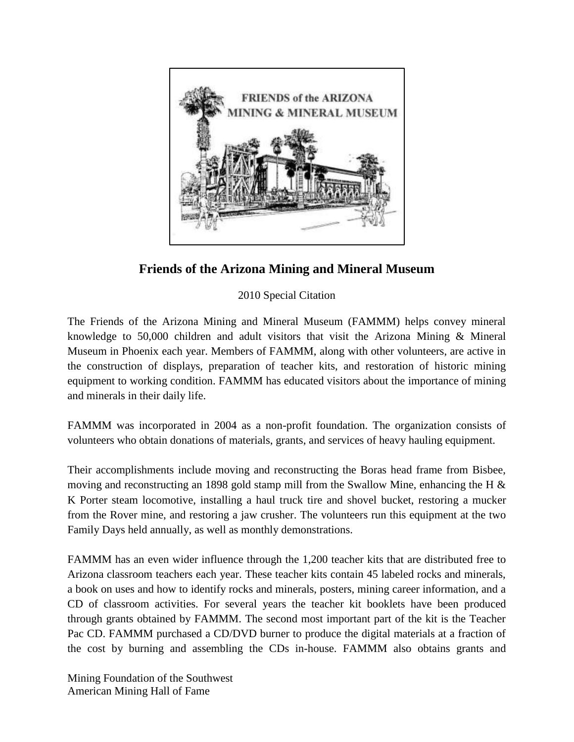

**Friends of the Arizona Mining and Mineral Museum**

2010 Special Citation

The Friends of the Arizona Mining and Mineral Museum (FAMMM) helps convey mineral knowledge to 50,000 children and adult visitors that visit the Arizona Mining & Mineral Museum in Phoenix each year. Members of FAMMM, along with other volunteers, are active in the construction of displays, preparation of teacher kits, and restoration of historic mining equipment to working condition. FAMMM has educated visitors about the importance of mining and minerals in their daily life.

FAMMM was incorporated in 2004 as a non-profit foundation. The organization consists of volunteers who obtain donations of materials, grants, and services of heavy hauling equipment.

Their accomplishments include moving and reconstructing the Boras head frame from Bisbee, moving and reconstructing an 1898 gold stamp mill from the Swallow Mine, enhancing the H & K Porter steam locomotive, installing a haul truck tire and shovel bucket, restoring a mucker from the Rover mine, and restoring a jaw crusher. The volunteers run this equipment at the two Family Days held annually, as well as monthly demonstrations.

FAMMM has an even wider influence through the 1,200 teacher kits that are distributed free to Arizona classroom teachers each year. These teacher kits contain 45 labeled rocks and minerals, a book on uses and how to identify rocks and minerals, posters, mining career information, and a CD of classroom activities. For several years the teacher kit booklets have been produced through grants obtained by FAMMM. The second most important part of the kit is the Teacher Pac CD. FAMMM purchased a CD/DVD burner to produce the digital materials at a fraction of the cost by burning and assembling the CDs in-house. FAMMM also obtains grants and

Mining Foundation of the Southwest American Mining Hall of Fame